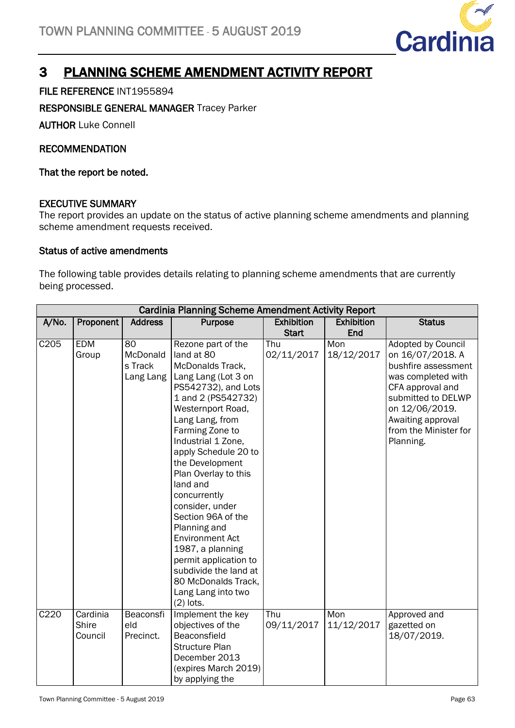

# 3 PLANNING SCHEME AMENDMENT ACTIVITY REPORT

# FILE REFERENCE INT1955894

RESPONSIBLE GENERAL MANAGER Tracey Parker

AUTHOR Luke Connell

## **RECOMMENDATION**

That the report be noted.

## EXECUTIVE SUMMARY

The report provides an update on the status of active planning scheme amendments and planning scheme amendment requests received.

## Status of active amendments

The following table provides details relating to planning scheme amendments that are currently being processed.

|                  | <b>Cardinia Planning Scheme Amendment Activity Report</b> |                                        |                                                                                                                                                                                                                                                                                                                                                                                                                                                                                                                               |                                   |                          |                                                                                                                                                                                                                   |  |  |
|------------------|-----------------------------------------------------------|----------------------------------------|-------------------------------------------------------------------------------------------------------------------------------------------------------------------------------------------------------------------------------------------------------------------------------------------------------------------------------------------------------------------------------------------------------------------------------------------------------------------------------------------------------------------------------|-----------------------------------|--------------------------|-------------------------------------------------------------------------------------------------------------------------------------------------------------------------------------------------------------------|--|--|
| A/No.            | Proponent                                                 | <b>Address</b>                         | Purpose                                                                                                                                                                                                                                                                                                                                                                                                                                                                                                                       | <b>Exhibition</b><br><b>Start</b> | <b>Exhibition</b><br>End | <b>Status</b>                                                                                                                                                                                                     |  |  |
| C205             | <b>EDM</b><br>Group                                       | 80<br>McDonald<br>s Track<br>Lang Lang | Rezone part of the<br>land at 80<br>McDonalds Track,<br>Lang Lang (Lot 3 on<br>PS542732), and Lots<br>1 and 2 (PS542732)<br>Westernport Road,<br>Lang Lang, from<br>Farming Zone to<br>Industrial 1 Zone,<br>apply Schedule 20 to<br>the Development<br>Plan Overlay to this<br>land and<br>concurrently<br>consider, under<br>Section 96A of the<br>Planning and<br><b>Environment Act</b><br>1987, a planning<br>permit application to<br>subdivide the land at<br>80 McDonalds Track,<br>Lang Lang into two<br>$(2)$ lots. | Thu<br>02/11/2017                 | Mon<br>18/12/2017        | <b>Adopted by Council</b><br>on 16/07/2018. A<br>bushfire assessment<br>was completed with<br>CFA approval and<br>submitted to DELWP<br>on 12/06/2019.<br>Awaiting approval<br>from the Minister for<br>Planning. |  |  |
| C <sub>220</sub> | Cardinia<br>Shire<br>Council                              | Beaconsfi<br>eld<br>Precinct.          | Implement the key<br>objectives of the<br>Beaconsfield<br><b>Structure Plan</b><br>December 2013<br>(expires March 2019)<br>by applying the                                                                                                                                                                                                                                                                                                                                                                                   | Thu<br>09/11/2017                 | Mon<br>11/12/2017        | Approved and<br>gazetted on<br>18/07/2019.                                                                                                                                                                        |  |  |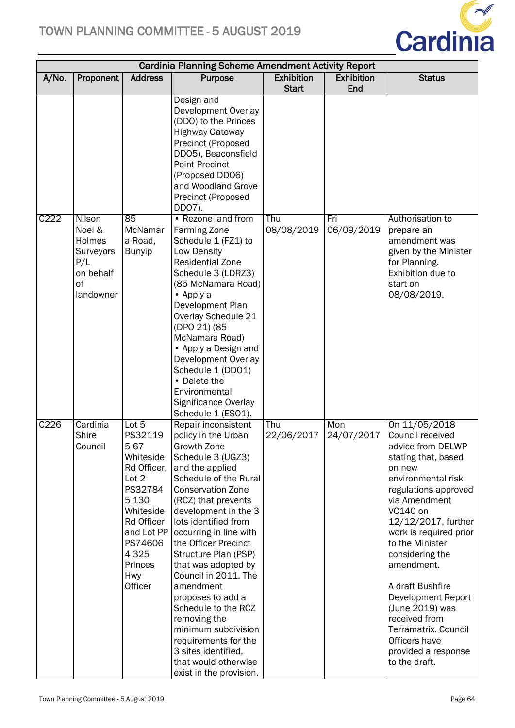

|       | <b>Cardinia Planning Scheme Amendment Activity Report</b>                      |                                                                                                                                                                                       |                                                                                                                                                                                                                                                                                                                                                                                                                                                                                                                                                          |                   |                   |                                                                                                                                                                                                                                                                                                                                                                                                                                        |  |
|-------|--------------------------------------------------------------------------------|---------------------------------------------------------------------------------------------------------------------------------------------------------------------------------------|----------------------------------------------------------------------------------------------------------------------------------------------------------------------------------------------------------------------------------------------------------------------------------------------------------------------------------------------------------------------------------------------------------------------------------------------------------------------------------------------------------------------------------------------------------|-------------------|-------------------|----------------------------------------------------------------------------------------------------------------------------------------------------------------------------------------------------------------------------------------------------------------------------------------------------------------------------------------------------------------------------------------------------------------------------------------|--|
| A/No. | Proponent                                                                      | <b>Address</b>                                                                                                                                                                        | <b>Purpose</b>                                                                                                                                                                                                                                                                                                                                                                                                                                                                                                                                           | <b>Exhibition</b> | <b>Exhibition</b> | <b>Status</b>                                                                                                                                                                                                                                                                                                                                                                                                                          |  |
|       |                                                                                |                                                                                                                                                                                       |                                                                                                                                                                                                                                                                                                                                                                                                                                                                                                                                                          | <b>Start</b>      | End               |                                                                                                                                                                                                                                                                                                                                                                                                                                        |  |
|       |                                                                                |                                                                                                                                                                                       | Design and<br>Development Overlay<br>(DDO) to the Princes<br><b>Highway Gateway</b><br>Precinct (Proposed<br>DD05), Beaconsfield<br><b>Point Precinct</b>                                                                                                                                                                                                                                                                                                                                                                                                |                   |                   |                                                                                                                                                                                                                                                                                                                                                                                                                                        |  |
|       |                                                                                |                                                                                                                                                                                       | (Proposed DDO6)<br>and Woodland Grove<br>Precinct (Proposed<br>DD07).                                                                                                                                                                                                                                                                                                                                                                                                                                                                                    |                   |                   |                                                                                                                                                                                                                                                                                                                                                                                                                                        |  |
| C222  | Nilson<br>Noel &<br>Holmes<br>Surveyors<br>P/L<br>on behalf<br>0f<br>landowner | 85<br>McNamar<br>a Road,<br><b>Bunyip</b>                                                                                                                                             | • Rezone land from<br><b>Farming Zone</b><br>Schedule 1 (FZ1) to<br>Low Density<br><b>Residential Zone</b><br>Schedule 3 (LDRZ3)<br>(85 McNamara Road)<br>• Apply a<br>Development Plan<br>Overlay Schedule 21<br>(DPO 21) (85<br>McNamara Road)<br>• Apply a Design and<br>Development Overlay<br>Schedule 1 (DD01)<br>• Delete the<br>Environmental<br>Significance Overlay<br>Schedule 1 (ESO1).                                                                                                                                                      | Thu<br>08/08/2019 | Fri<br>06/09/2019 | Authorisation to<br>prepare an<br>amendment was<br>given by the Minister<br>for Planning.<br>Exhibition due to<br>start on<br>08/08/2019.                                                                                                                                                                                                                                                                                              |  |
| C226  | Cardinia<br>Shire<br>Council                                                   | Lot 5<br>PS32119<br>567<br>Whiteside<br>Rd Officer.<br>Lot 2<br>PS32784<br>5 1 3 0<br>Whiteside<br>Rd Officer<br>and Lot PP<br>PS74606<br>4 3 2 5<br>Princes<br><b>Hwy</b><br>Officer | Repair inconsistent<br>policy in the Urban<br>Growth Zone<br>Schedule 3 (UGZ3)<br>and the applied<br>Schedule of the Rural<br><b>Conservation Zone</b><br>(RCZ) that prevents<br>development in the 3<br>lots identified from<br>occurring in line with<br>the Officer Precinct<br>Structure Plan (PSP)<br>that was adopted by<br>Council in 2011. The<br>amendment<br>proposes to add a<br>Schedule to the RCZ<br>removing the<br>minimum subdivision<br>requirements for the<br>3 sites identified,<br>that would otherwise<br>exist in the provision. | Thu<br>22/06/2017 | Mon<br>24/07/2017 | On 11/05/2018<br>Council received<br>advice from DELWP<br>stating that, based<br>on new<br>environmental risk<br>regulations approved<br>via Amendment<br>VC140 on<br>12/12/2017, further<br>work is required prior<br>to the Minister<br>considering the<br>amendment.<br>A draft Bushfire<br>Development Report<br>(June 2019) was<br>received from<br>Terramatrix. Council<br>Officers have<br>provided a response<br>to the draft. |  |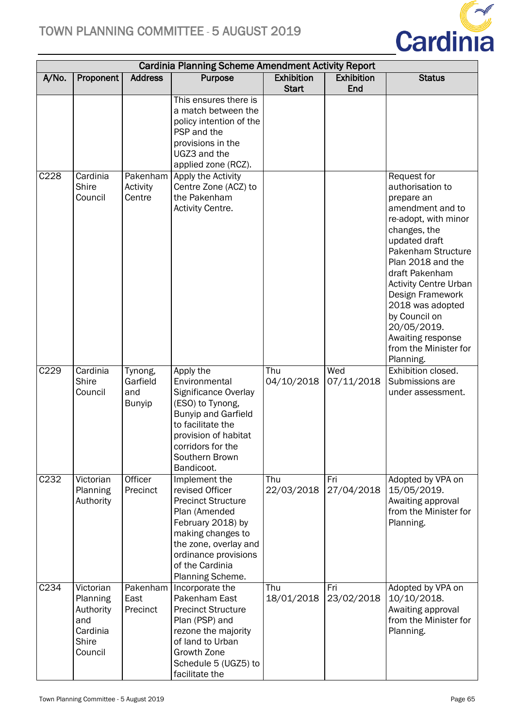

|                  | <b>Cardinia Planning Scheme Amendment Activity Report</b>                 |                                             |                                                                                                                                                                                                                  |                   |                   |                                                                                                                                                                                                                                                                                                                                                                   |  |  |
|------------------|---------------------------------------------------------------------------|---------------------------------------------|------------------------------------------------------------------------------------------------------------------------------------------------------------------------------------------------------------------|-------------------|-------------------|-------------------------------------------------------------------------------------------------------------------------------------------------------------------------------------------------------------------------------------------------------------------------------------------------------------------------------------------------------------------|--|--|
| A/No.            | Proponent                                                                 | <b>Address</b>                              | Purpose                                                                                                                                                                                                          | <b>Exhibition</b> | <b>Exhibition</b> | <b>Status</b>                                                                                                                                                                                                                                                                                                                                                     |  |  |
|                  |                                                                           |                                             |                                                                                                                                                                                                                  | <b>Start</b>      | End               |                                                                                                                                                                                                                                                                                                                                                                   |  |  |
|                  |                                                                           |                                             | This ensures there is<br>a match between the<br>policy intention of the<br>PSP and the<br>provisions in the<br>UGZ3 and the<br>applied zone (RCZ).                                                               |                   |                   |                                                                                                                                                                                                                                                                                                                                                                   |  |  |
| C228             | Cardinia<br><b>Shire</b><br>Council                                       | Activity<br>Centre                          | Pakenham Apply the Activity<br>Centre Zone (ACZ) to<br>the Pakenham<br>Activity Centre.                                                                                                                          |                   |                   | <b>Request for</b><br>authorisation to<br>prepare an<br>amendment and to<br>re-adopt, with minor<br>changes, the<br>updated draft<br>Pakenham Structure<br>Plan 2018 and the<br>draft Pakenham<br><b>Activity Centre Urban</b><br>Design Framework<br>2018 was adopted<br>by Council on<br>20/05/2019.<br>Awaiting response<br>from the Minister for<br>Planning. |  |  |
| C229             | Cardinia<br><b>Shire</b><br>Council                                       | Tynong,<br>Garfield<br>and<br><b>Bunyip</b> | Apply the<br>Environmental<br>Significance Overlay<br>(ESO) to Tynong,<br><b>Bunyip and Garfield</b><br>to facilitate the<br>provision of habitat<br>corridors for the<br>Southern Brown<br>Bandicoot.           | Thu<br>04/10/2018 | Wed<br>07/11/2018 | Exhibition closed.<br>Submissions are<br>under assessment.                                                                                                                                                                                                                                                                                                        |  |  |
| C <sub>232</sub> | Victorian<br>Planning<br>Authority                                        | Officer<br>Precinct                         | Implement the<br>revised Officer<br><b>Precinct Structure</b><br>Plan (Amended<br>February 2018) by<br>making changes to<br>the zone, overlay and<br>ordinance provisions<br>of the Cardinia<br>Planning Scheme. | Thu<br>22/03/2018 | Fri<br>27/04/2018 | Adopted by VPA on<br>15/05/2019.<br>Awaiting approval<br>from the Minister for<br>Planning.                                                                                                                                                                                                                                                                       |  |  |
| C <sub>234</sub> | Victorian<br>Planning<br>Authority<br>and<br>Cardinia<br>Shire<br>Council | East<br>Precinct                            | Pakenham   Incorporate the<br>Pakenham East<br><b>Precinct Structure</b><br>Plan (PSP) and<br>rezone the majority<br>of land to Urban<br>Growth Zone<br>Schedule 5 (UGZ5) to<br>facilitate the                   | Thu<br>18/01/2018 | Fri<br>23/02/2018 | Adopted by VPA on<br>10/10/2018.<br>Awaiting approval<br>from the Minister for<br>Planning.                                                                                                                                                                                                                                                                       |  |  |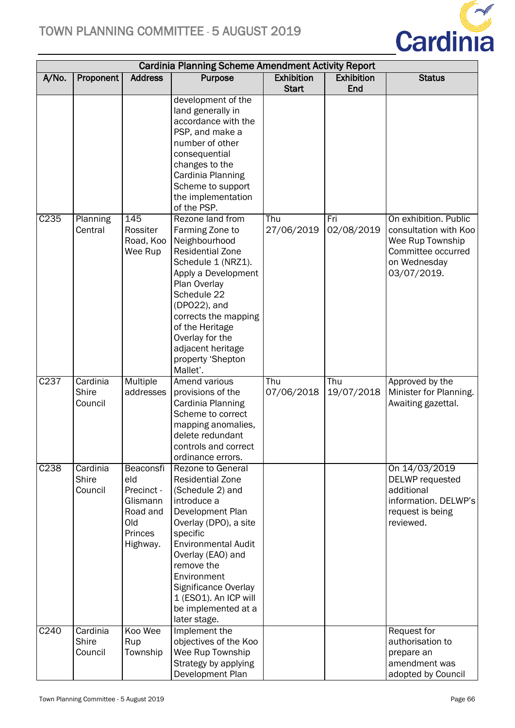

|       | <b>Cardinia Planning Scheme Amendment Activity Report</b> |                                                                                      |                                                                                                                                                                                                                                                                                                                         |                   |                   |                                                                                                                         |  |
|-------|-----------------------------------------------------------|--------------------------------------------------------------------------------------|-------------------------------------------------------------------------------------------------------------------------------------------------------------------------------------------------------------------------------------------------------------------------------------------------------------------------|-------------------|-------------------|-------------------------------------------------------------------------------------------------------------------------|--|
| A/No. | Proponent                                                 | <b>Address</b>                                                                       | <b>Purpose</b>                                                                                                                                                                                                                                                                                                          | <b>Exhibition</b> | <b>Exhibition</b> | <b>Status</b>                                                                                                           |  |
|       |                                                           |                                                                                      |                                                                                                                                                                                                                                                                                                                         | <b>Start</b>      | End               |                                                                                                                         |  |
|       |                                                           |                                                                                      | development of the<br>land generally in<br>accordance with the<br>PSP, and make a<br>number of other<br>consequential<br>changes to the<br>Cardinia Planning<br>Scheme to support<br>the implementation<br>of the PSP.                                                                                                  |                   |                   |                                                                                                                         |  |
| C235  | Planning<br>Central                                       | 145<br>Rossiter<br>Road, Koo<br>Wee Rup                                              | Rezone land from<br>Farming Zone to<br>Neighbourhood<br><b>Residential Zone</b><br>Schedule 1 (NRZ1).<br>Apply a Development<br>Plan Overlay<br>Schedule 22<br>(DPO22), and<br>corrects the mapping<br>of the Heritage<br>Overlay for the<br>adjacent heritage<br>property 'Shepton<br>Mallet'.                         | Thu<br>27/06/2019 | Fri<br>02/08/2019 | On exhibition. Public<br>consultation with Koo<br>Wee Rup Township<br>Committee occurred<br>on Wednesday<br>03/07/2019. |  |
| C237  | Cardinia<br>Shire<br>Council                              | Multiple<br>addresses                                                                | Amend various<br>provisions of the<br>Cardinia Planning<br>Scheme to correct<br>mapping anomalies,<br>delete redundant<br>controls and correct<br>ordinance errors.                                                                                                                                                     | Thu<br>07/06/2018 | Thu<br>19/07/2018 | Approved by the<br>Minister for Planning.<br>Awaiting gazettal.                                                         |  |
| C238  | Cardinia<br>Shire<br>Council                              | Beaconsfi<br>eld<br>Precinct -<br>Glismann<br>Road and<br>Old<br>Princes<br>Highway. | <b>Rezone to General</b><br><b>Residential Zone</b><br>(Schedule 2) and<br>introduce a<br>Development Plan<br>Overlay (DPO), a site<br>specific<br><b>Environmental Audit</b><br>Overlay (EAO) and<br>remove the<br>Environment<br>Significance Overlay<br>1 (ESO1). An ICP will<br>be implemented at a<br>later stage. |                   |                   | On 14/03/2019<br>DELWP requested<br>additional<br>information. DELWP's<br>request is being<br>reviewed.                 |  |
| C240  | Cardinia<br><b>Shire</b><br>Council                       | Koo Wee<br>Rup<br>Township                                                           | Implement the<br>objectives of the Koo<br>Wee Rup Township<br>Strategy by applying<br>Development Plan                                                                                                                                                                                                                  |                   |                   | Request for<br>authorisation to<br>prepare an<br>amendment was<br>adopted by Council                                    |  |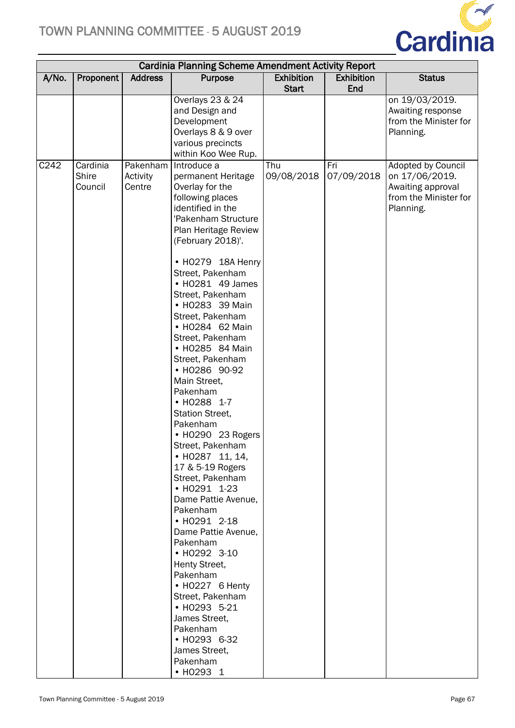

|       | <b>Cardinia Planning Scheme Amendment Activity Report</b> |                                |                                                                                                                                                                                                                                                                                                                                                                                                                                                                                                                                                                                                                                                                                                                                                                                                                                                                         |                                   |                          |                                                                                                 |  |  |
|-------|-----------------------------------------------------------|--------------------------------|-------------------------------------------------------------------------------------------------------------------------------------------------------------------------------------------------------------------------------------------------------------------------------------------------------------------------------------------------------------------------------------------------------------------------------------------------------------------------------------------------------------------------------------------------------------------------------------------------------------------------------------------------------------------------------------------------------------------------------------------------------------------------------------------------------------------------------------------------------------------------|-----------------------------------|--------------------------|-------------------------------------------------------------------------------------------------|--|--|
| A/No. | Proponent                                                 | <b>Address</b>                 | Purpose                                                                                                                                                                                                                                                                                                                                                                                                                                                                                                                                                                                                                                                                                                                                                                                                                                                                 | <b>Exhibition</b><br><b>Start</b> | <b>Exhibition</b><br>End | <b>Status</b>                                                                                   |  |  |
|       |                                                           |                                | Overlays 23 & 24<br>and Design and<br>Development<br>Overlays 8 & 9 over<br>various precincts<br>within Koo Wee Rup.                                                                                                                                                                                                                                                                                                                                                                                                                                                                                                                                                                                                                                                                                                                                                    |                                   |                          | on 19/03/2019.<br>Awaiting response<br>from the Minister for<br>Planning.                       |  |  |
| C242  | Cardinia<br>Shire<br>Council                              | Pakenham<br>Activity<br>Centre | Introduce a<br>permanent Heritage<br>Overlay for the<br>following places<br>identified in the<br>'Pakenham Structure<br>Plan Heritage Review<br>(February 2018)'.<br>• HO279 18A Henry<br>Street, Pakenham<br>• HO281 49 James<br>Street, Pakenham<br>• HO283 39 Main<br>Street, Pakenham<br>• HO284 62 Main<br>Street, Pakenham<br>• HO285 84 Main<br>Street, Pakenham<br>• HO286 90-92<br>Main Street,<br>Pakenham<br>• HO288 1-7<br>Station Street,<br>Pakenham<br>• HO290 23 Rogers<br>Street, Pakenham<br>• HO287 11, 14,<br>17 & 5-19 Rogers<br>Street, Pakenham<br>• H0291 1-23<br>Dame Pattie Avenue,<br>Pakenham<br>• HO291 2-18<br>Dame Pattie Avenue,<br>Pakenham<br>• H0292 3-10<br>Henty Street,<br>Pakenham<br>• HO227 6 Henty<br>Street, Pakenham<br>• H0293 5-21<br>James Street,<br>Pakenham<br>• HO293 6-32<br>James Street,<br>Pakenham<br>• HO293 1 | Thu<br>09/08/2018                 | Fri<br>07/09/2018        | Adopted by Council<br>on 17/06/2019.<br>Awaiting approval<br>from the Minister for<br>Planning. |  |  |